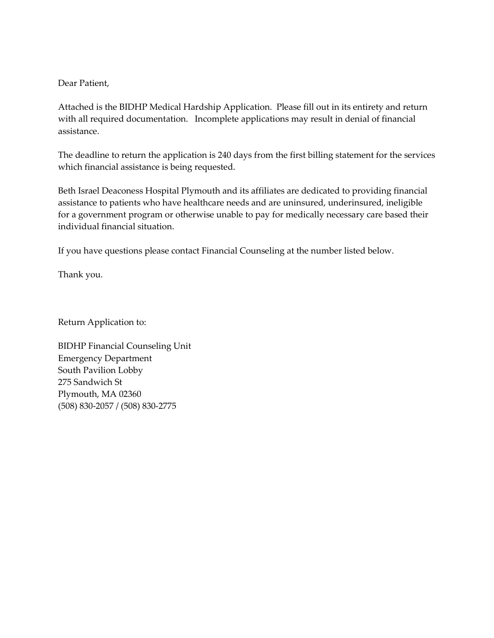Dear Patient,

Attached is the BIDHP Medical Hardship Application. Please fill out in its entirety and return with all required documentation. Incomplete applications may result in denial of financial assistance.

The deadline to return the application is 240 days from the first billing statement for the services which financial assistance is being requested.

Beth Israel Deaconess Hospital Plymouth and its affiliates are dedicated to providing financial assistance to patients who have healthcare needs and are uninsured, underinsured, ineligible for a government program or otherwise unable to pay for medically necessary care based their individual financial situation.

If you have questions please contact Financial Counseling at the number listed below.

Thank you.

Return Application to:

BIDHP Financial Counseling Unit Emergency Department South Pavilion Lobby 275 Sandwich St Plymouth, MA 02360 (508) 830-2057 / (508) 830-2775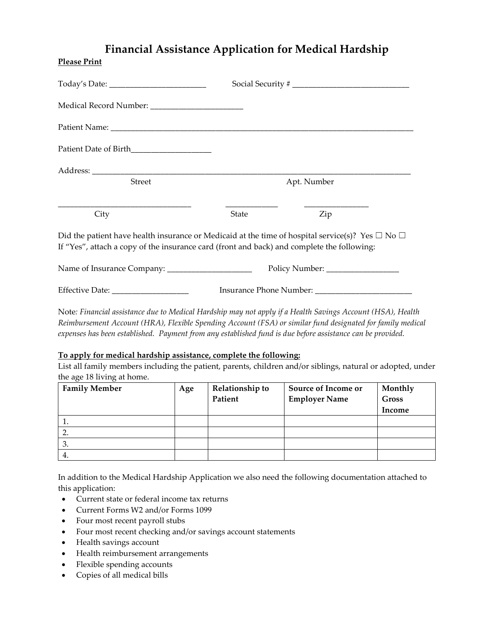## **Financial Assistance Application for Medical Hardship**

| <b>Street</b>                                                                                                                                                                                            | Apt. Number |     |  |  |  |
|----------------------------------------------------------------------------------------------------------------------------------------------------------------------------------------------------------|-------------|-----|--|--|--|
| City                                                                                                                                                                                                     | State       | Zip |  |  |  |
| Did the patient have health insurance or Medicaid at the time of hospital service(s)? Yes $\Box$ No $\Box$<br>If "Yes", attach a copy of the insurance card (front and back) and complete the following: |             |     |  |  |  |
|                                                                                                                                                                                                          |             |     |  |  |  |
| Effective Date: __________________                                                                                                                                                                       |             |     |  |  |  |

Note*: Financial assistance due to Medical Hardship may not apply if a Health Savings Account (HSA), Health Reimbursement Account (HRA), Flexible Spending Account (FSA) or similar fund designated for family medical expenses has been established. Payment from any established fund is due before assistance can be provided.*

## **To apply for medical hardship assistance, complete the following:**

List all family members including the patient, parents, children and/or siblings, natural or adopted, under the age 18 living at home.

| <b>Family Member</b> | Age | Relationship to | <b>Source of Income or</b> | Monthly      |
|----------------------|-----|-----------------|----------------------------|--------------|
|                      |     | Patient         | <b>Employer Name</b>       | <b>Gross</b> |
|                      |     |                 |                            | Income       |
| . .                  |     |                 |                            |              |
|                      |     |                 |                            |              |
| 3.                   |     |                 |                            |              |
|                      |     |                 |                            |              |

In addition to the Medical Hardship Application we also need the following documentation attached to this application:

- Current state or federal income tax returns
- Current Forms W2 and/or Forms 1099
- Four most recent payroll stubs
- Four most recent checking and/or savings account statements
- Health savings account

**Please Print**

- Health reimbursement arrangements
- Flexible spending accounts
- Copies of all medical bills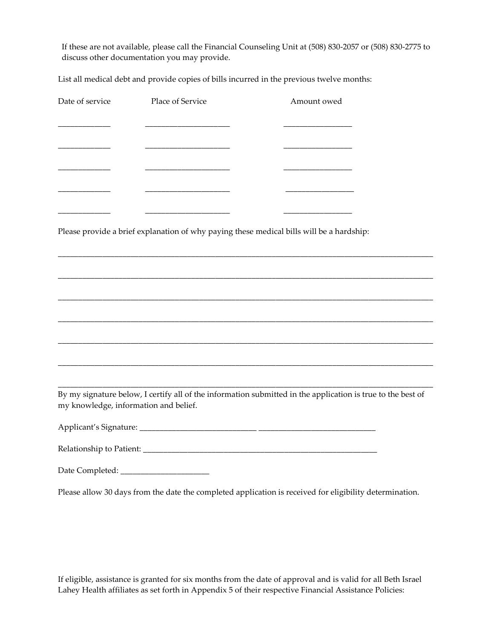If these are not available, please call the Financial Counseling Unit at (508) 830-2057 or (508) 830-2775 to discuss other documentation you may provide.

List all medical debt and provide copies of bills incurred in the previous twelve months:

| Date of service                       | Place of Service | Amount owed                                                                                                 |  |
|---------------------------------------|------------------|-------------------------------------------------------------------------------------------------------------|--|
|                                       |                  |                                                                                                             |  |
|                                       |                  |                                                                                                             |  |
|                                       |                  |                                                                                                             |  |
|                                       |                  |                                                                                                             |  |
|                                       |                  |                                                                                                             |  |
|                                       |                  | Please provide a brief explanation of why paying these medical bills will be a hardship:                    |  |
|                                       |                  |                                                                                                             |  |
|                                       |                  |                                                                                                             |  |
|                                       |                  |                                                                                                             |  |
|                                       |                  |                                                                                                             |  |
|                                       |                  |                                                                                                             |  |
|                                       |                  |                                                                                                             |  |
| my knowledge, information and belief. |                  | By my signature below, I certify all of the information submitted in the application is true to the best of |  |
|                                       |                  |                                                                                                             |  |
|                                       |                  |                                                                                                             |  |
|                                       |                  |                                                                                                             |  |

Please allow 30 days from the date the completed application is received for eligibility determination.

If eligible, assistance is granted for six months from the date of approval and is valid for all Beth Israel Lahey Health affiliates as set forth in Appendix 5 of their respective Financial Assistance Policies: